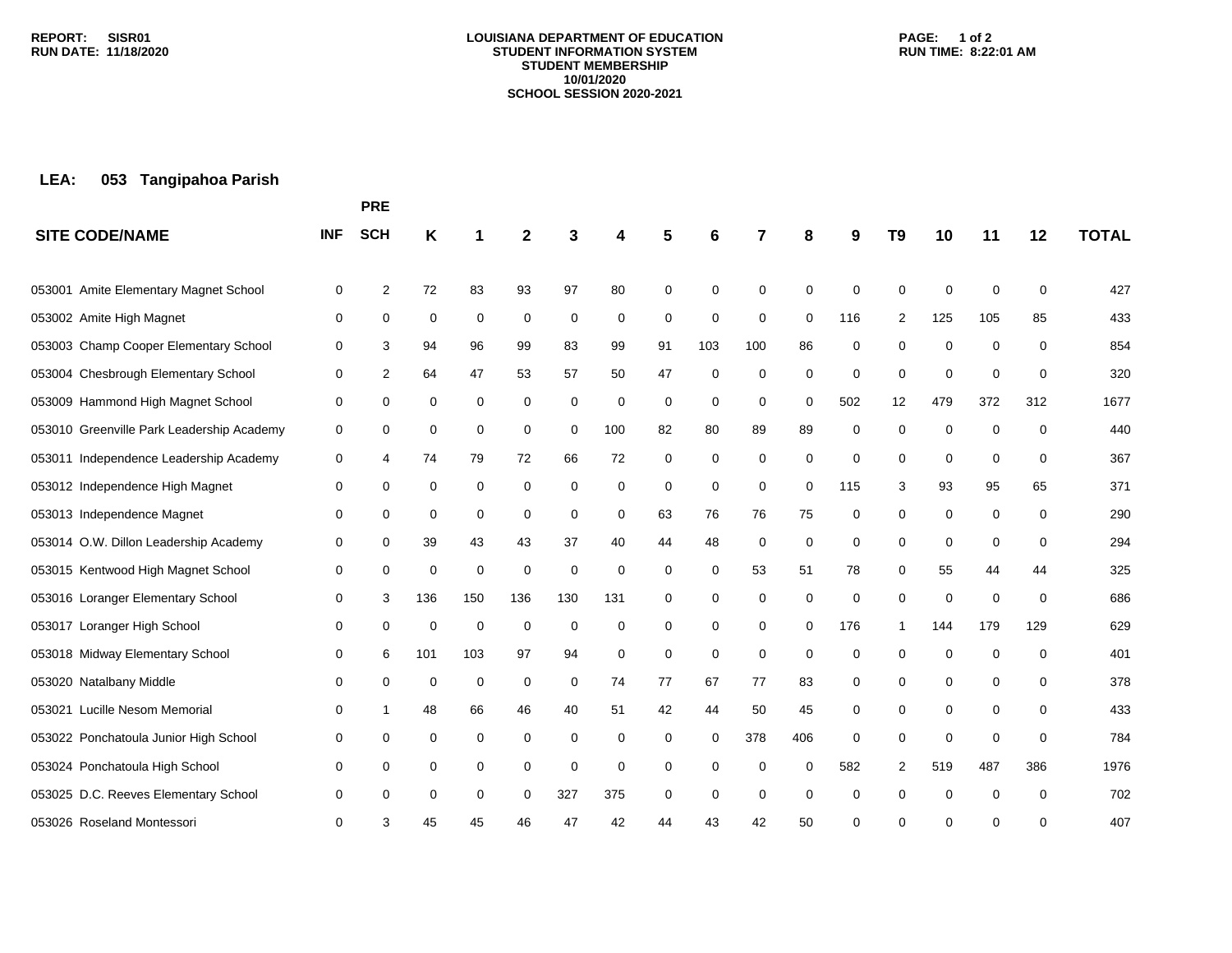#### **LOUISIANA DEPARTMENT OF EDUCATION STUDENT INFORMATION SYSTEM STUDENT MEMBERSHIP 10/01/2020 SCHOOL SESSION 2020-2021**

### **PAGE: 1 of 2 RUN TIME: 8:22:01 AM**

# **LEA: 053 Tangipahoa Parish**

|                                           |            | <b>PRE</b> |     |             |             |             |     |    |             |             |          |             |                |             |             |     |              |
|-------------------------------------------|------------|------------|-----|-------------|-------------|-------------|-----|----|-------------|-------------|----------|-------------|----------------|-------------|-------------|-----|--------------|
| <b>SITE CODE/NAME</b>                     | <b>INF</b> | <b>SCH</b> | Κ   |             | $\mathbf 2$ |             | Δ   | 5  | 6           | 7           | 8        | 9           | T <sub>9</sub> | 10          | 11          | 12  | <b>TOTAL</b> |
| 053001 Amite Elementary Magnet School     | 0          | 2          | 72  | 83          | 93          | 97          | 80  | 0  | 0           | 0           | $\Omega$ | 0           | 0              | $\mathbf 0$ | 0           | 0   | 427          |
| 053002 Amite High Magnet                  | 0          | 0          | 0   | $\mathbf 0$ | 0           | 0           | 0   | 0  | $\pmb{0}$   | 0           | 0        | 116         | 2              | 125         | 105         | 85  | 433          |
| 053003 Champ Cooper Elementary School     | 0          | 3          | 94  | 96          | 99          | 83          | 99  | 91 | 103         | 100         | 86       | $\mathbf 0$ | 0              | 0           | 0           | 0   | 854          |
| 053004 Chesbrough Elementary School       | 0          | 2          | 64  | 47          | 53          | 57          | 50  | 47 | $\mathbf 0$ | $\mathbf 0$ | 0        | $\mathbf 0$ | $\mathbf 0$    | $\mathbf 0$ | 0           | 0   | 320          |
| 053009 Hammond High Magnet School         | 0          | 0          | 0   | 0           | 0           | 0           | 0   | 0  | 0           | 0           | 0        | 502         | 12             | 479         | 372         | 312 | 1677         |
| 053010 Greenville Park Leadership Academy | 0          | 0          | 0   | 0           | 0           | 0           | 100 | 82 | 80          | 89          | 89       | 0           | $\mathbf 0$    | 0           | $\mathbf 0$ | 0   | 440          |
| 053011 Independence Leadership Academy    | 0          | 4          | 74  | 79          | 72          | 66          | 72  | 0  | 0           | 0           | 0        | 0           | 0              | 0           | $\mathbf 0$ | 0   | 367          |
| 053012 Independence High Magnet           | 0          | 0          | 0   | $\mathbf 0$ | $\mathbf 0$ | $\mathbf 0$ | 0   | 0  | 0           | $\mathbf 0$ | 0        | 115         | 3              | 93          | 95          | 65  | 371          |
| 053013 Independence Magnet                | 0          | 0          | 0   | 0           | 0           | 0           | 0   | 63 | 76          | 76          | 75       | 0           | 0              | 0           | 0           | 0   | 290          |
| 053014 O.W. Dillon Leadership Academy     | 0          | 0          | 39  | 43          | 43          | 37          | 40  | 44 | 48          | 0           | 0        | 0           | 0              | $\mathbf 0$ | $\mathbf 0$ | 0   | 294          |
| 053015 Kentwood High Magnet School        | 0          | 0          | 0   | 0           | $\mathbf 0$ | $\mathbf 0$ | 0   | 0  | 0           | 53          | 51       | 78          | 0              | 55          | 44          | 44  | 325          |
| 053016 Loranger Elementary School         | 0          | 3          | 136 | 150         | 136         | 130         | 131 | 0  | 0           | 0           | 0        | 0           | 0              | $\mathbf 0$ | $\mathbf 0$ | 0   | 686          |
| 053017 Loranger High School               | 0          | 0          | 0   | 0           | 0           | 0           | 0   | 0  | 0           | 0           | 0        | 176         | -1             | 144         | 179         | 129 | 629          |
| 053018 Midway Elementary School           | 0          | 6          | 101 | 103         | 97          | 94          | 0   | 0  | 0           | 0           | 0        | 0           | 0              | $\mathbf 0$ | $\Omega$    | 0   | 401          |
| 053020 Natalbany Middle                   | 0          | 0          | 0   | 0           | 0           | 0           | 74  | 77 | 67          | 77          | 83       | 0           | 0              | 0           | 0           | 0   | 378          |
| Lucille Nesom Memorial<br>053021          | 0          | 1          | 48  | 66          | 46          | 40          | 51  | 42 | 44          | 50          | 45       | 0           | 0              | 0           | 0           | 0   | 433          |
| 053022 Ponchatoula Junior High School     | 0          | 0          | 0   | 0           | 0           | 0           | 0   | 0  | 0           | 378         | 406      | 0           | 0              | $\mathbf 0$ | $\mathbf 0$ | 0   | 784          |
| 053024 Ponchatoula High School            | 0          | 0          | 0   | 0           | 0           | 0           | 0   | 0  | 0           | 0           | $\Omega$ | 582         | 2              | 519         | 487         | 386 | 1976         |
| 053025 D.C. Reeves Elementary School      | 0          | 0          | 0   | 0           | 0           | 327         | 375 | 0  | 0           | $\mathbf 0$ | $\Omega$ | 0           | 0              | $\mathbf 0$ | $\mathbf 0$ | 0   | 702          |
| 053026 Roseland Montessori                | $\Omega$   | 3          | 45  | 45          | 46          | 47          | 42  | 44 | 43          | 42          | 50       | 0           | $\Omega$       | 0           | 0           | 0   | 407          |